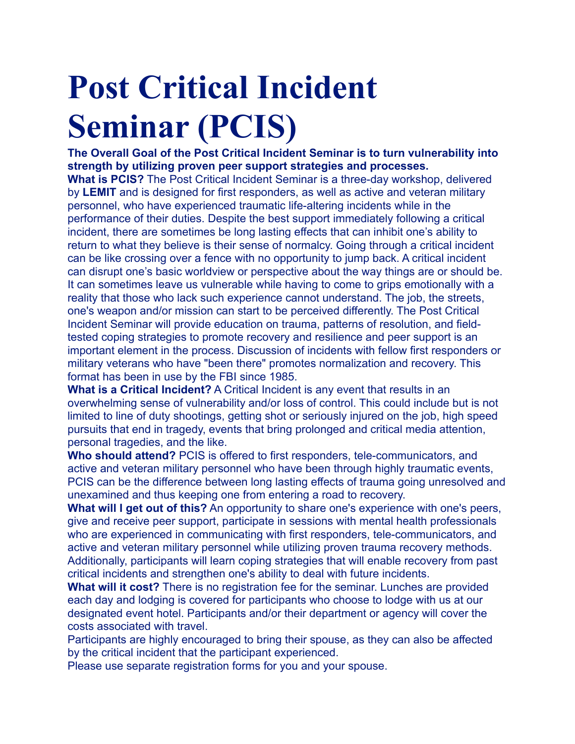# **Post Critical Incident Seminar (PCIS)**

**The Overall Goal of the Post Critical Incident Seminar is to turn vulnerability into strength by utilizing proven peer support strategies and processes. What is PCIS?** The Post Critical Incident Seminar is a three-day workshop, delivered by **LEMIT** and is designed for first responders, as well as active and veteran military personnel, who have experienced traumatic life-altering incidents while in the performance of their duties. Despite the best support immediately following a critical incident, there are sometimes be long lasting effects that can inhibit one's ability to return to what they believe is their sense of normalcy. Going through a critical incident can be like crossing over a fence with no opportunity to jump back. A critical incident can disrupt one's basic worldview or perspective about the way things are or should be. It can sometimes leave us vulnerable while having to come to grips emotionally with a reality that those who lack such experience cannot understand. The job, the streets, one's weapon and/or mission can start to be perceived differently. The Post Critical Incident Seminar will provide education on trauma, patterns of resolution, and fieldtested coping strategies to promote recovery and resilience and peer support is an important element in the process. Discussion of incidents with fellow first responders or military veterans who have "been there" promotes normalization and recovery. This format has been in use by the FBI since 1985.

**What is a Critical Incident?** A Critical Incident is any event that results in an overwhelming sense of vulnerability and/or loss of control. This could include but is not limited to line of duty shootings, getting shot or seriously injured on the job, high speed pursuits that end in tragedy, events that bring prolonged and critical media attention, personal tragedies, and the like.

**Who should attend?** PCIS is offered to first responders, tele-communicators, and active and veteran military personnel who have been through highly traumatic events, PCIS can be the difference between long lasting effects of trauma going unresolved and unexamined and thus keeping one from entering a road to recovery.

**What will I get out of this?** An opportunity to share one's experience with one's peers, give and receive peer support, participate in sessions with mental health professionals who are experienced in communicating with first responders, tele-communicators, and active and veteran military personnel while utilizing proven trauma recovery methods. Additionally, participants will learn coping strategies that will enable recovery from past critical incidents and strengthen one's ability to deal with future incidents.

**What will it cost?** There is no registration fee for the seminar. Lunches are provided each day and lodging is covered for participants who choose to lodge with us at our designated event hotel. Participants and/or their department or agency will cover the costs associated with travel.

Participants are highly encouraged to bring their spouse, as they can also be affected by the critical incident that the participant experienced.

Please use separate registration forms for you and your spouse.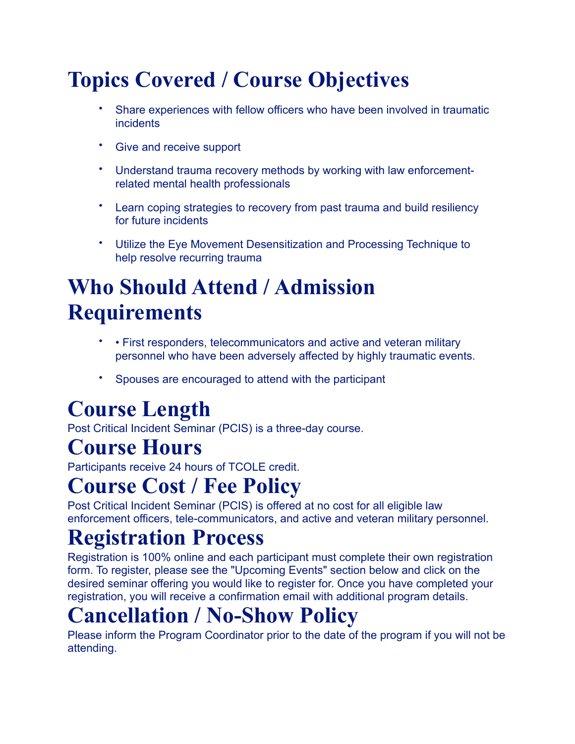# **Topics Covered / Course Objectives**

- Share experiences with fellow officers who have been involved in traumatic incidents
- Give and receive support
- Understand trauma recovery methods by working with law enforcementrelated mental health professionals
- Learn coping strategies to recovery from past trauma and build resiliency for future incidents
- Utilize the Eye Movement Desensitization and Processing Technique to help resolve recurring trauma

## **Who Should Attend / Admission Requirements**

- • First responders, telecommunicators and active and veteran military personnel who have been adversely affected by highly traumatic events.
- Spouses are encouraged to attend with the participant

## **Course Length**

Post Critical Incident Seminar (PCIS) is a three-day course.

#### **Course Hours**

Participants receive 24 hours of TCOLE credit.

#### **Course Cost / Fee Policy**

Post Critical Incident Seminar (PCIS) is offered at no cost for all eligible law enforcement officers, tele-communicators, and active and veteran military personnel.

#### **Registration Process**

Registration is 100% online and each participant must complete their own registration form. To register, please see the "Upcoming Events" section below and click on the desired seminar offering you would like to register for. Once you have completed your registration, you will receive a confirmation email with additional program details.

### **Cancellation / No-Show Policy**

Please inform the Program Coordinator prior to the date of the program if you will not be attending.